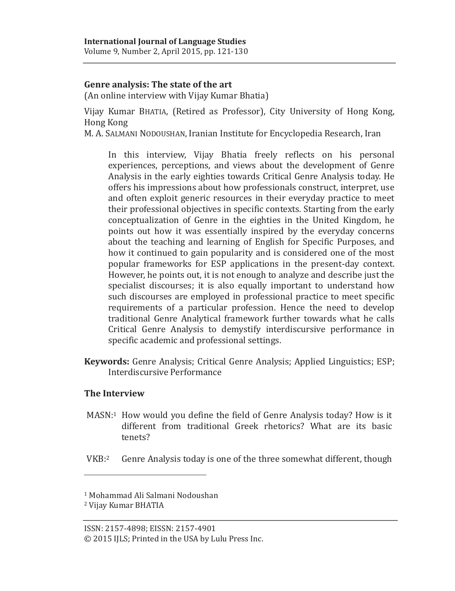## **Genre analysis: The state of the art**

(An online interview with Vijay Kumar Bhatia)

Vijay Kumar BHATIA, (Retired as Professor), City University of Hong Kong, Hong Kong

M. A. SALMANI NODOUSHAN, Iranian Institute for Encyclopedia Research, Iran

In this interview, Vijay Bhatia freely reflects on his personal experiences, perceptions, and views about the development of Genre Analysis in the early eighties towards Critical Genre Analysis today. He offers his impressions about how professionals construct, interpret, use and often exploit generic resources in their everyday practice to meet their professional objectives in specific contexts. Starting from the early conceptualization of Genre in the eighties in the United Kingdom, he points out how it was essentially inspired by the everyday concerns about the teaching and learning of English for Specific Purposes, and how it continued to gain popularity and is considered one of the most popular frameworks for ESP applications in the present-day context. However, he points out, it is not enough to analyze and describe just the specialist discourses; it is also equally important to understand how such discourses are employed in professional practice to meet specific requirements of a particular profession. Hence the need to develop traditional Genre Analytical framework further towards what he calls Critical Genre Analysis to demystify interdiscursive performance in specific academic and professional settings.

**Keywords:** Genre Analysis; Critical Genre Analysis; Applied Linguistics; ESP; Interdiscursive Performance

## **The Interview**

 $\overline{a}$ 

- MASN:1 How would you define the field of Genre Analysis today? How is it different from traditional Greek rhetorics? What are its basic tenets?
- VKB:2 Genre Analysis today is one of the three somewhat different, though

<sup>1</sup> Mohammad Ali Salmani Nodoushan

<sup>2</sup> Vijay Kumar BHATIA

ISSN: 2157-4898; EISSN: 2157-4901

<sup>© 2015</sup> IJLS; Printed in the USA by Lulu Press Inc.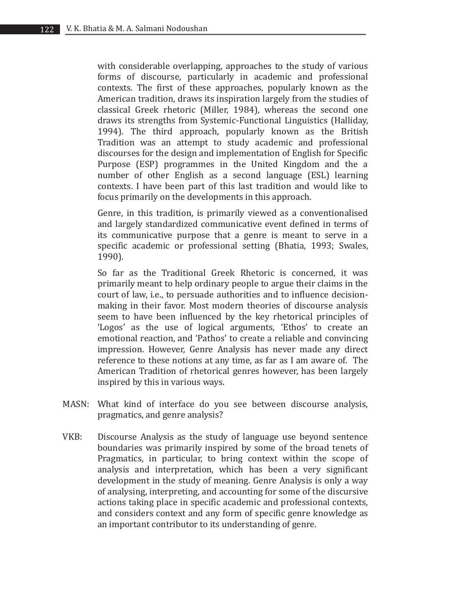with considerable overlapping, approaches to the study of various forms of discourse, particularly in academic and professional contexts. The first of these approaches, popularly known as the American tradition, draws its inspiration largely from the studies of classical Greek rhetoric (Miller, 1984), whereas the second one draws its strengths from Systemic-Functional Linguistics (Halliday, 1994). The third approach, popularly known as the British Tradition was an attempt to study academic and professional discourses for the design and implementation of English for Specific Purpose (ESP) programmes in the United Kingdom and the a number of other English as a second language (ESL) learning contexts. I have been part of this last tradition and would like to focus primarily on the developments in this approach.

Genre, in this tradition, is primarily viewed as a conventionalised and largely standardized communicative event defined in terms of its communicative purpose that a genre is meant to serve in a specific academic or professional setting (Bhatia, 1993; Swales, 1990).

So far as the Traditional Greek Rhetoric is concerned, it was primarily meant to help ordinary people to argue their claims in the court of law, i.e., to persuade authorities and to influence decisionmaking in their favor. Most modern theories of discourse analysis seem to have been influenced by the key rhetorical principles of 'Logos' as the use of logical arguments, 'Ethos' to create an emotional reaction, and 'Pathos' to create a reliable and convincing impression. However, Genre Analysis has never made any direct reference to these notions at any time, as far as I am aware of. The American Tradition of rhetorical genres however, has been largely inspired by this in various ways.

- MASN: What kind of interface do you see between discourse analysis, pragmatics, and genre analysis?
- VKB: Discourse Analysis as the study of language use beyond sentence boundaries was primarily inspired by some of the broad tenets of Pragmatics, in particular, to bring context within the scope of analysis and interpretation, which has been a very significant development in the study of meaning. Genre Analysis is only a way of analysing, interpreting, and accounting for some of the discursive actions taking place in specific academic and professional contexts, and considers context and any form of specific genre knowledge as an important contributor to its understanding of genre.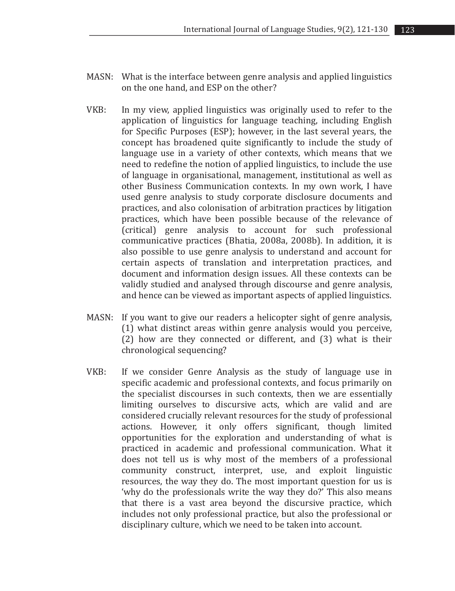- MASN: What is the interface between genre analysis and applied linguistics on the one hand, and ESP on the other?
- VKB: In my view, applied linguistics was originally used to refer to the application of linguistics for language teaching, including English for Specific Purposes (ESP); however, in the last several years, the concept has broadened quite significantly to include the study of language use in a variety of other contexts, which means that we need to redefine the notion of applied linguistics, to include the use of language in organisational, management, institutional as well as other Business Communication contexts. In my own work, I have used genre analysis to study corporate disclosure documents and practices, and also colonisation of arbitration practices by litigation practices, which have been possible because of the relevance of (critical) genre analysis to account for such professional communicative practices (Bhatia, 2008a, 2008b). In addition, it is also possible to use genre analysis to understand and account for certain aspects of translation and interpretation practices, and document and information design issues. All these contexts can be validly studied and analysed through discourse and genre analysis, and hence can be viewed as important aspects of applied linguistics.
- MASN: If you want to give our readers a helicopter sight of genre analysis, (1) what distinct areas within genre analysis would you perceive, (2) how are they connected or different, and (3) what is their chronological sequencing?
- VKB: If we consider Genre Analysis as the study of language use in specific academic and professional contexts, and focus primarily on the specialist discourses in such contexts, then we are essentially limiting ourselves to discursive acts, which are valid and are considered crucially relevant resources for the study of professional actions. However, it only offers significant, though limited opportunities for the exploration and understanding of what is practiced in academic and professional communication. What it does not tell us is why most of the members of a professional community construct, interpret, use, and exploit linguistic resources, the way they do. The most important question for us is 'why do the professionals write the way they do?' This also means that there is a vast area beyond the discursive practice, which includes not only professional practice, but also the professional or disciplinary culture, which we need to be taken into account.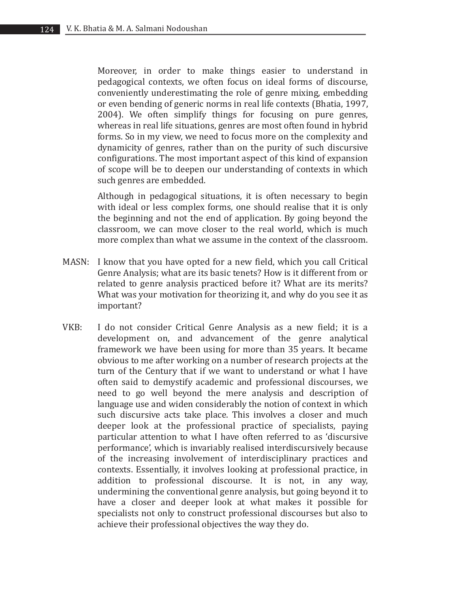Moreover, in order to make things easier to understand in pedagogical contexts, we often focus on ideal forms of discourse, conveniently underestimating the role of genre mixing, embedding or even bending of generic norms in real life contexts (Bhatia, 1997, 2004). We often simplify things for focusing on pure genres, whereas in real life situations, genres are most often found in hybrid forms. So in my view, we need to focus more on the complexity and dynamicity of genres, rather than on the purity of such discursive configurations. The most important aspect of this kind of expansion of scope will be to deepen our understanding of contexts in which such genres are embedded.

Although in pedagogical situations, it is often necessary to begin with ideal or less complex forms, one should realise that it is only the beginning and not the end of application. By going beyond the classroom, we can move closer to the real world, which is much more complex than what we assume in the context of the classroom.

- MASN: I know that you have opted for a new field, which you call Critical Genre Analysis; what are its basic tenets? How is it different from or related to genre analysis practiced before it? What are its merits? What was your motivation for theorizing it, and why do you see it as important?
- VKB: I do not consider Critical Genre Analysis as a new field; it is a development on, and advancement of the genre analytical framework we have been using for more than 35 years. It became obvious to me after working on a number of research projects at the turn of the Century that if we want to understand or what I have often said to demystify academic and professional discourses, we need to go well beyond the mere analysis and description of language use and widen considerably the notion of context in which such discursive acts take place. This involves a closer and much deeper look at the professional practice of specialists, paying particular attention to what I have often referred to as 'discursive performance', which is invariably realised interdiscursively because of the increasing involvement of interdisciplinary practices and contexts. Essentially, it involves looking at professional practice, in addition to professional discourse. It is not, in any way, undermining the conventional genre analysis, but going beyond it to have a closer and deeper look at what makes it possible for specialists not only to construct professional discourses but also to achieve their professional objectives the way they do.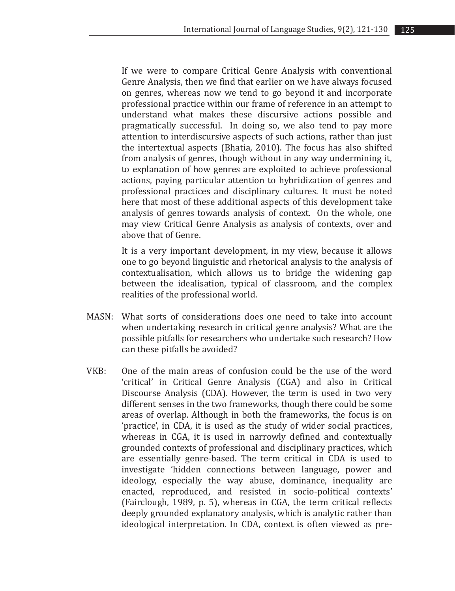If we were to compare Critical Genre Analysis with conventional Genre Analysis, then we find that earlier on we have always focused on genres, whereas now we tend to go beyond it and incorporate professional practice within our frame of reference in an attempt to understand what makes these discursive actions possible and pragmatically successful. In doing so, we also tend to pay more attention to interdiscursive aspects of such actions, rather than just the intertextual aspects (Bhatia, 2010). The focus has also shifted from analysis of genres, though without in any way undermining it, to explanation of how genres are exploited to achieve professional actions, paying particular attention to hybridization of genres and professional practices and disciplinary cultures. It must be noted here that most of these additional aspects of this development take analysis of genres towards analysis of context. On the whole, one may view Critical Genre Analysis as analysis of contexts, over and above that of Genre.

It is a very important development, in my view, because it allows one to go beyond linguistic and rhetorical analysis to the analysis of contextualisation, which allows us to bridge the widening gap between the idealisation, typical of classroom, and the complex realities of the professional world.

- MASN: What sorts of considerations does one need to take into account when undertaking research in critical genre analysis? What are the possible pitfalls for researchers who undertake such research? How can these pitfalls be avoided?
- VKB: One of the main areas of confusion could be the use of the word 'critical' in Critical Genre Analysis (CGA) and also in Critical Discourse Analysis (CDA). However, the term is used in two very different senses in the two frameworks, though there could be some areas of overlap. Although in both the frameworks, the focus is on 'practice', in CDA, it is used as the study of wider social practices, whereas in CGA, it is used in narrowly defined and contextually grounded contexts of professional and disciplinary practices, which are essentially genre-based. The term critical in CDA is used to investigate 'hidden connections between language, power and ideology, especially the way abuse, dominance, inequality are enacted, reproduced, and resisted in socio-political contexts' (Fairclough, 1989, p. 5), whereas in CGA, the term critical reflects deeply grounded explanatory analysis, which is analytic rather than ideological interpretation. In CDA, context is often viewed as pre-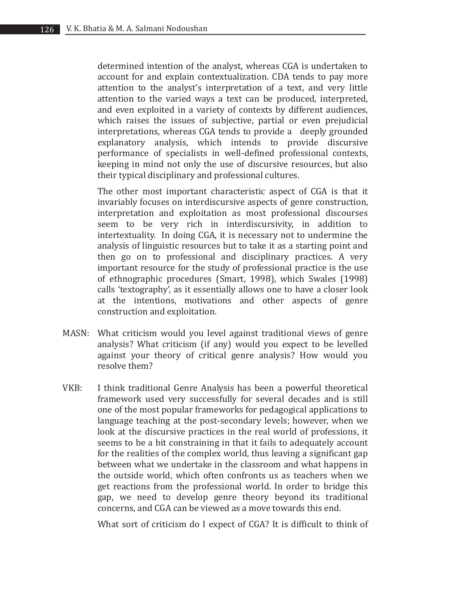determined intention of the analyst, whereas CGA is undertaken to account for and explain contextualization. CDA tends to pay more attention to the analyst's interpretation of a text, and very little attention to the varied ways a text can be produced, interpreted, and even exploited in a variety of contexts by different audiences, which raises the issues of subjective, partial or even prejudicial interpretations, whereas CGA tends to provide a deeply grounded explanatory analysis, which intends to provide discursive performance of specialists in well-defined professional contexts, keeping in mind not only the use of discursive resources, but also their typical disciplinary and professional cultures.

The other most important characteristic aspect of CGA is that it invariably focuses on interdiscursive aspects of genre construction, interpretation and exploitation as most professional discourses seem to be very rich in interdiscursivity, in addition to intertextuality. In doing CGA, it is necessary not to undermine the analysis of linguistic resources but to take it as a starting point and then go on to professional and disciplinary practices. A very important resource for the study of professional practice is the use of ethnographic procedures (Smart, 1998), which Swales (1998) calls 'textography', as it essentially allows one to have a closer look at the intentions, motivations and other aspects of genre construction and exploitation.

- MASN: What criticism would you level against traditional views of genre analysis? What criticism (if any) would you expect to be levelled against your theory of critical genre analysis? How would you resolve them?
- VKB: I think traditional Genre Analysis has been a powerful theoretical framework used very successfully for several decades and is still one of the most popular frameworks for pedagogical applications to language teaching at the post-secondary levels; however, when we look at the discursive practices in the real world of professions, it seems to be a bit constraining in that it fails to adequately account for the realities of the complex world, thus leaving a significant gap between what we undertake in the classroom and what happens in the outside world, which often confronts us as teachers when we get reactions from the professional world. In order to bridge this gap, we need to develop genre theory beyond its traditional concerns, and CGA can be viewed as a move towards this end.

What sort of criticism do I expect of CGA? It is difficult to think of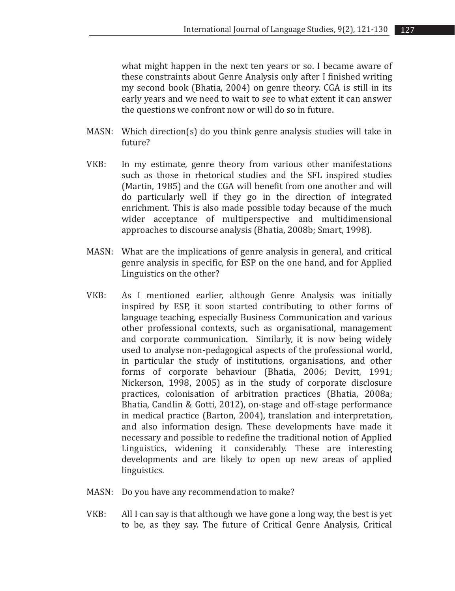what might happen in the next ten years or so. I became aware of these constraints about Genre Analysis only after I finished writing my second book (Bhatia, 2004) on genre theory. CGA is still in its early years and we need to wait to see to what extent it can answer the questions we confront now or will do so in future.

- MASN: Which direction(s) do you think genre analysis studies will take in future?
- VKB: In my estimate, genre theory from various other manifestations such as those in rhetorical studies and the SFL inspired studies (Martin, 1985) and the CGA will benefit from one another and will do particularly well if they go in the direction of integrated enrichment. This is also made possible today because of the much wider acceptance of multiperspective and multidimensional approaches to discourse analysis (Bhatia, 2008b; Smart, 1998).
- MASN: What are the implications of genre analysis in general, and critical genre analysis in specific, for ESP on the one hand, and for Applied Linguistics on the other?
- VKB: As I mentioned earlier, although Genre Analysis was initially inspired by ESP, it soon started contributing to other forms of language teaching, especially Business Communication and various other professional contexts, such as organisational, management and corporate communication. Similarly, it is now being widely used to analyse non-pedagogical aspects of the professional world, in particular the study of institutions, organisations, and other forms of corporate behaviour (Bhatia, 2006; Devitt, 1991; Nickerson, 1998, 2005) as in the study of corporate disclosure practices, colonisation of arbitration practices (Bhatia, 2008a; Bhatia, Candlin & Gotti, 2012), on-stage and off-stage performance in medical practice (Barton, 2004), translation and interpretation, and also information design. These developments have made it necessary and possible to redefine the traditional notion of Applied Linguistics, widening it considerably. These are interesting developments and are likely to open up new areas of applied linguistics.
- MASN: Do you have any recommendation to make?
- VKB: All I can say is that although we have gone a long way, the best is yet to be, as they say. The future of Critical Genre Analysis, Critical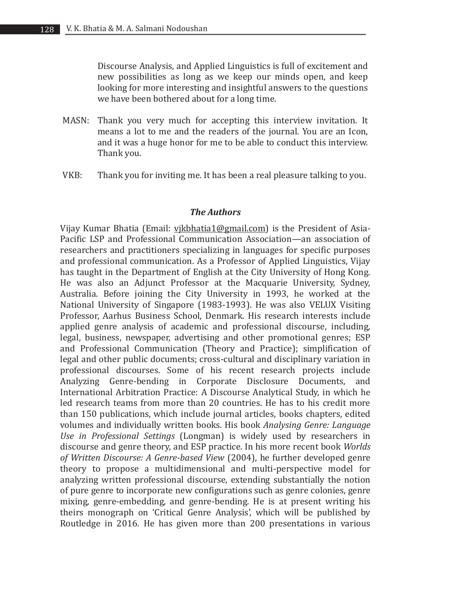Discourse Analysis, and Applied Linguistics is full of excitement and new possibilities as long as we keep our minds open, and keep looking for more interesting and insightful answers to the questions we have been bothered about for a long time.

- MASN: Thank you very much for accepting this interview invitation. It means a lot to me and the readers of the journal. You are an Icon, and it was a huge honor for me to be able to conduct this interview. Thank you.
- VKB: Thank you for inviting me. It has been a real pleasure talking to you.

## *The Authors*

Vijay Kumar Bhatia (Email: vjkbhatia1@gmail.com) is the President of Asia-Pacific LSP and Professional Communication Association—an association of researchers and practitioners specializing in languages for specific purposes and professional communication. As a Professor of Applied Linguistics, Vijay has taught in the Department of English at the City University of Hong Kong. He was also an Adjunct Professor at the Macquarie University, Sydney, Australia. Before joining the City University in 1993, he worked at the National University of Singapore (1983-1993). He was also VELUX Visiting Professor, Aarhus Business School, Denmark. His research interests include applied genre analysis of academic and professional discourse, including, legal, business, newspaper, advertising and other promotional genres; ESP and Professional Communication (Theory and Practice); simplification of legal and other public documents; cross-cultural and disciplinary variation in professional discourses. Some of his recent research projects include Analyzing Genre-bending in Corporate Disclosure Documents, and International Arbitration Practice: A Discourse Analytical Study, in which he led research teams from more than 20 countries. He has to his credit more than 150 publications, which include journal articles, books chapters, edited volumes and individually written books. His book *Analysing Genre: Language Use in Professional Settings* (Longman) is widely used by researchers in discourse and genre theory, and ESP practice. In his more recent book *Worlds of Written Discourse: A Genre-based View* (2004), he further developed genre theory to propose a multidimensional and multi-perspective model for analyzing written professional discourse, extending substantially the notion of pure genre to incorporate new configurations such as genre colonies, genre mixing, genre-embedding, and genre-bending. He is at present writing his theirs monograph on 'Critical Genre Analysis', which will be published by Routledge in 2016. He has given more than 200 presentations in various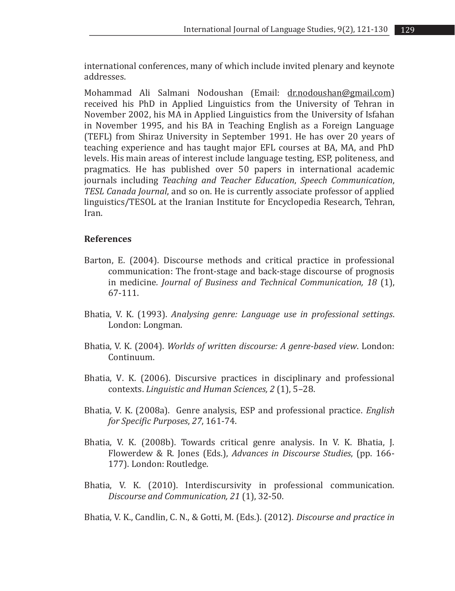international conferences, many of which include invited plenary and keynote addresses.

Mohammad Ali Salmani Nodoushan (Email: dr.nodoushan@gmail.com) received his PhD in Applied Linguistics from the University of Tehran in November 2002, his MA in Applied Linguistics from the University of Isfahan in November 1995, and his BA in Teaching English as a Foreign Language (TEFL) from Shiraz University in September 1991. He has over 20 years of teaching experience and has taught major EFL courses at BA, MA, and PhD levels. His main areas of interest include language testing, ESP, politeness, and pragmatics. He has published over 50 papers in international academic journals including *Teaching and Teacher Education*, *Speech Communication*, *TESL Canada Journal*, and so on. He is currently associate professor of applied linguistics/TESOL at the Iranian Institute for Encyclopedia Research, Tehran, Iran.

## **References**

- Barton, E. (2004). Discourse methods and critical practice in professional communication: The front-stage and back-stage discourse of prognosis in medicine*. Journal of Business and Technical Communication, 18* (1), 67-111.
- Bhatia, V. K. (1993). *Analysing genre: Language use in professional settings*. London: Longman.
- Bhatia, V. K. (2004). *Worlds of written discourse: A genre-based view*. London: Continuum.
- Bhatia, V. K. (2006). Discursive practices in disciplinary and professional contexts. *Linguistic and Human Sciences, 2* (1), 5–28.
- Bhatia, V. K. (2008a). Genre analysis, ESP and professional practice. *English for Specific Purposes*, *27*, 161-74.
- Bhatia, V. K. (2008b). Towards critical genre analysis. In V. K. Bhatia, J. Flowerdew & R. Jones (Eds.), *Advances in Discourse Studies*, (pp. 166- 177). London: Routledge.
- Bhatia, V. K. (2010). Interdiscursivity in professional communication. *Discourse and Communication, 21* (1), 32-50.

Bhatia, V. K., Candlin, C. N., & Gotti, M. (Eds.). (2012). *Discourse and practice in*